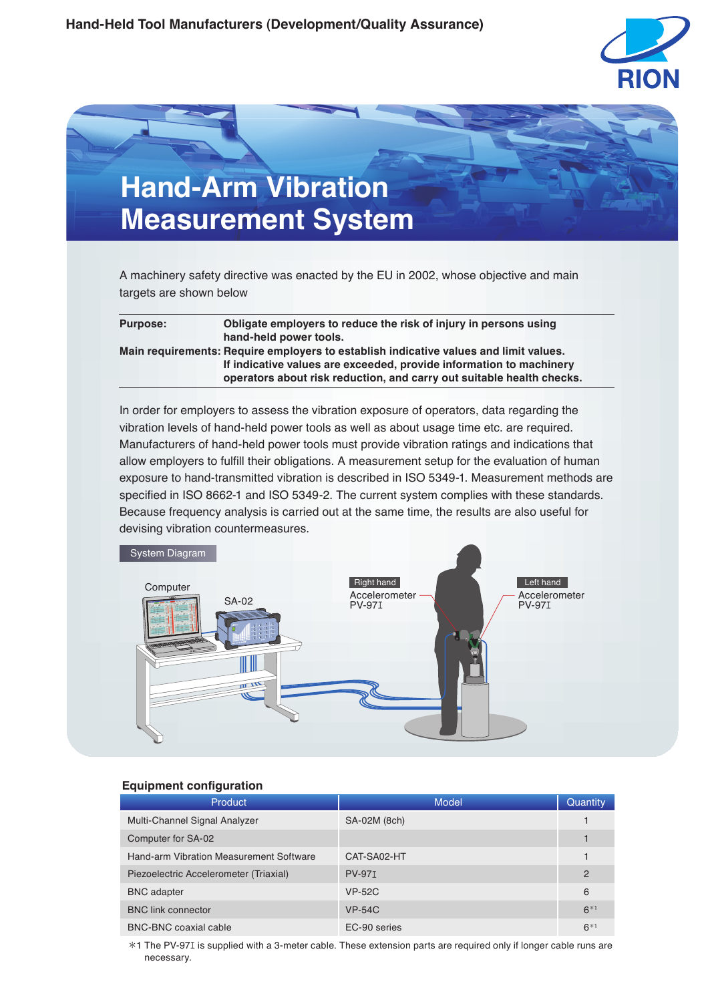



A machinery safety directive was enacted by the EU in 2002, whose objective and main targets are shown below

| <b>Purpose:</b> | Obligate employers to reduce the risk of injury in persons using<br>hand-held power tools.                                                                                                                                            |
|-----------------|---------------------------------------------------------------------------------------------------------------------------------------------------------------------------------------------------------------------------------------|
|                 | Main requirements: Require employers to establish indicative values and limit values.<br>If indicative values are exceeded, provide information to machinery<br>operators about risk reduction, and carry out suitable health checks. |

In order for employers to assess the vibration exposure of operators, data regarding the vibration levels of hand-held power tools as well as about usage time etc. are required. Manufacturers of hand-held power tools must provide vibration ratings and indications that allow employers to fulfill their obligations. A measurement setup for the evaluation of human exposure to hand-transmitted vibration is described in ISO 5349-1. Measurement methods are specified in ISO 8662-1 and ISO 5349-2. The current system complies with these standards. Because frequency analysis is carried out at the same time, the results are also useful for devising vibration countermeasures.



# **Equipment configuration**

| <b>Product</b>                          | <b>Model</b>  | Quantity       |
|-----------------------------------------|---------------|----------------|
| Multi-Channel Signal Analyzer           | SA-02M (8ch)  |                |
| Computer for SA-02                      |               |                |
| Hand-arm Vibration Measurement Software | CAT-SA02-HT   |                |
| Piezoelectric Accelerometer (Triaxial)  | <b>PV-971</b> | $\overline{2}$ |
| <b>BNC</b> adapter                      | <b>VP-52C</b> | 6              |
| <b>BNC link connector</b>               | $VP-54C$      | $6*1$          |
| <b>BNC-BNC coaxial cable</b>            | EC-90 series  | $6*1$          |

\*1 The PV-97エ is supplied with a 3-meter cable. These extension parts are required only if longer cable runs are necessary.